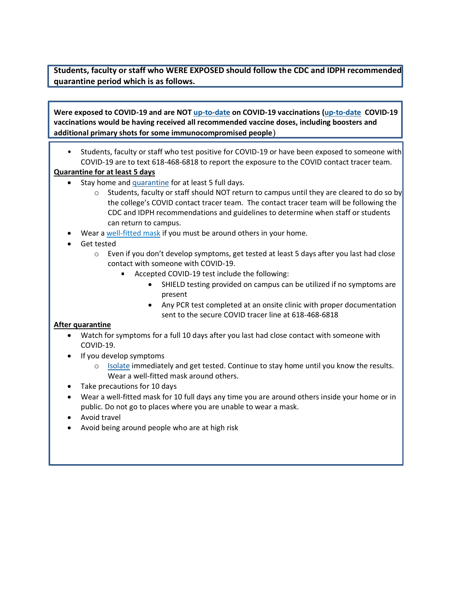**Students, faculty or staff who WERE EXPOSED should follow the CDC and IDPH recommended quarantine period which is as follows.**

**Were exposed to COVID-19 and are NOT [up-to-date](https://www.cdc.gov/coronavirus/2019-ncov/vaccines/stay-up-to-date.html) on COVID-19 vaccinations [\(up-to-date](https://www.cdc.gov/coronavirus/2019-ncov/vaccines/stay-up-to-date.html) COVID-19 vaccinations would be having received all recommended vaccine doses, including boosters and additional primary shots for some immunocompromised people**)

• Students, faculty or staff who test positive for COVID-19 or have been exposed to someone with COVID-19 are to text 618-468-6818 to report the exposure to the COVID contact tracer team.

## **Quarantine for at least 5 days**

- Stay home and [quarantine](https://www.cdc.gov/coronavirus/2019-ncov/your-health/quarantine-isolation.html#quarantine) for at least 5 full days.
	- $\circ$  Students, faculty or staff should NOT return to campus until they are cleared to do so by the college's COVID contact tracer team. The contact tracer team will be following the CDC and IDPH recommendations and guidelines to determine when staff or students can return to campus.
- Wear a well[-fitted](https://www.cdc.gov/coronavirus/2019-ncov/your-health/effective-masks.html) mask if you must be around others in your home.
- Get tested
	- $\circ$  Even if you don't develop symptoms, get tested at least 5 days after you last had close contact with someone with COVID-19.
		- Accepted COVID-19 test include the following:
			- SHIELD testing provided on campus can be utilized if no symptoms are present
			- Any PCR test completed at an onsite clinic with proper documentation sent to the secure COVID tracer line at 618-468-6818

## **After quarantine**

- Watch for symptoms for a full 10 days after you last had close contact with someone with COVID-19.
- If you develop symptoms
	- $\circ$  [Isolate](https://www.cdc.gov/coronavirus/2019-ncov/your-health/quarantine-isolation.html#isolate) immediately and get tested. Continue to stay home until you know the results. Wear a well-fitted mask around others.
- Take precautions for 10 days
- Wear a well-fitted mask for 10 full days any time you are around others inside your home or in public. Do not go to places where you are unable to wear a mask.
- Avoid travel
- Avoid being around people who are at high risk